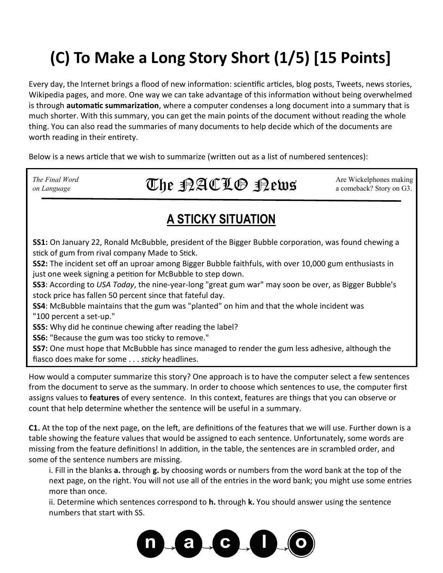# **(C) To Make a Long Story Short (1/5) [15 Points]**

Every day, the Internet brings a flood of new information: scientific articles, blog posts, Tweets, news stories, Wikipedia pages, and more. One way we can take advantage of this information without being overwhelmed is through **automatic summarization**, where a computer condenses a long document into a summary that is much shorter. With this summary, you can get the main points of the document without reading the whole thing. You can also read the summaries of many documents to help decide which of the documents are worth reading in their entirety.

Below is a news article that we wish to summarize (written out as a list of numbered sentences):

*The Final Word* Are Wickelphones making *The Final Word* **a** comeback? Story on G3. The  $\mathcal{L} \mathcal{L} \oplus \mathcal{R} \mathcal{L} \mathcal{L} \oplus \mathcal{R} \mathcal{L} \mathcal{L} \oplus \mathcal{R} \mathcal{L} \mathcal{L} \mathcal{L}$ 

#### **A STICKY SITUATION**

**SS1:** On January 22, Ronald McBubble, president of the Bigger Bubble corporation, was found chewing a stick of gum from rival company Made to Stick.

**SS2:** The incident set off an uproar among Bigger Bubble faithfuls, with over 10,000 gum enthusiasts in just one week signing a petition for McBubble to step down.

**SS3**: According to *USA Today*, the nine-year-long "great gum war" may soon be over, as Bigger Bubble's stock price has fallen 50 percent since that fateful day.

**SS4**: McBubble maintains that the gum was "planted" on him and that the whole incident was "100 percent a set-up."

**SS5:** Why did he continue chewing after reading the label?

**SS6:** "Because the gum was too sticky to remove."

**SS7:** One must hope that McBubble has since managed to render the gum less adhesive, although the fiasco does make for some . . . *sticky* headlines.

How would a computer summarize this story? One approach is to have the computer select a few sentences from the document to serve as the summary. In order to choose which sentences to use, the computer first assigns values to **features** of every sentence. In this context, features are things that you can observe or count that help determine whether the sentence will be useful in a summary.

**C1.** At the top of the next page, on the left, are definitions of the features that we will use. Further down is a table showing the feature values that would be assigned to each sentence. Unfortunately, some words are missing from the feature definitions! In addition, in the table, the sentences are in scrambled order, and some of the sentence numbers are missing.

i. Fill in the blanks **a.** through **g.** by choosing words or numbers from the word bank at the top of the next page, on the right. You will not use all of the entries in the word bank; you might use some entries more than once.

ii. Determine which sentences correspond to **h.** through **k.** You should answer using the sentence numbers that start with SS.

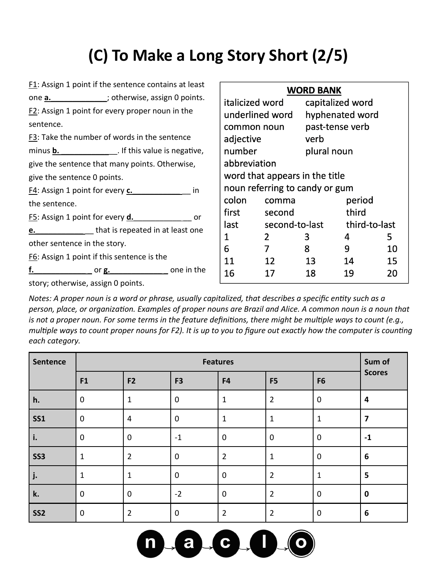## **(C) To Make a Long Story Short (2/5)**

| F1: Assign 1 point if the sentence contains at least        |                   |                                | <b>WORD BANK</b> |                 |    |
|-------------------------------------------------------------|-------------------|--------------------------------|------------------|-----------------|----|
| one <b>a.</b> ______________; otherwise, assign 0 points.   | italicized word   |                                | capitalized word |                 |    |
| $F2$ : Assign 1 point for every proper noun in the          | underlined word   |                                |                  | hyphenated word |    |
| sentence.                                                   | common noun       |                                | past-tense verb  |                 |    |
| F3: Take the number of words in the sentence                | adjective<br>verb |                                |                  |                 |    |
| minus <b>b.</b> _______________. If this value is negative, | number            |                                | plural noun      |                 |    |
| give the sentence that many points. Otherwise,              | abbreviation      |                                |                  |                 |    |
| give the sentence 0 points.                                 |                   | word that appears in the title |                  |                 |    |
| F4: Assign 1 point for every c. in                          |                   | noun referring to candy or gum |                  |                 |    |
| the sentence.                                               | colon             | comma                          |                  | period          |    |
| F5: Assign 1 point for every <b>d.</b> example 10 or        | first             | second                         |                  | third           |    |
| e. e. that is repeated in at least one                      | last              |                                | second-to-last   | third-to-last   |    |
|                                                             | 1                 | $\overline{2}$                 | 3                | 4               | 5  |
| other sentence in the story.                                | 6                 | $\overline{7}$                 | 8                | 9               | 10 |
| F6: Assign 1 point if this sentence is the                  | 11                | 12                             | 13               | 14              | 15 |
|                                                             | 16                | 17                             | 18               | 19              | 20 |
| story; otherwise, assign 0 points.                          |                   |                                |                  |                 |    |

*Notes: A proper noun is a word or phrase, usually capitalized, that describes a specific entity such as a person, place, or organization. Examples of proper nouns are Brazil and Alice. A common noun is a noun that is not a proper noun. For some terms in the feature definitions, there might be multiple ways to count (e.g., multiple ways to count proper nouns for F2). It is up to you to figure out exactly how the computer is counting each category.* 

| Sentence        |                | <b>Features</b> |                |                |                |                | Sum of                  |
|-----------------|----------------|-----------------|----------------|----------------|----------------|----------------|-------------------------|
|                 | F <sub>1</sub> | F <sub>2</sub>  | F <sub>3</sub> | F4             | F <sub>5</sub> | F <sub>6</sub> | <b>Scores</b>           |
| h.              | $\mathbf 0$    | $\mathbf{1}$    | $\mathbf 0$    | $\mathbf 1$    | $\overline{2}$ | $\mathbf 0$    | 4                       |
| <b>SS1</b>      | $\mathbf 0$    | 4               | $\mathbf 0$    | $\mathbf 1$    | $\mathbf 1$    | 1              | 7                       |
| i.              | $\mathbf 0$    | $\mathbf 0$     | $-1$           | $\mathbf 0$    | $\mathbf 0$    | $\mathbf 0$    | $-1$                    |
| <b>SS3</b>      | $\mathbf{1}$   | $\overline{2}$  | $\mathbf 0$    | $\overline{2}$ | $\mathbf 1$    | $\mathbf 0$    | $\boldsymbol{6}$        |
| j.              | $\mathbf 1$    | 1               | $\mathbf 0$    | $\mathbf 0$    | $\overline{2}$ |                | $\overline{\mathbf{5}}$ |
| k.              | $\mathbf 0$    | $\mathbf 0$     | $-2$           | $\mathbf 0$    | $\overline{2}$ | $\mathbf 0$    | $\bf{0}$                |
| SS <sub>2</sub> | $\mathbf 0$    | $\overline{2}$  | $\mathbf 0$    | $\overline{2}$ | $\overline{2}$ | $\mathbf 0$    | 6                       |

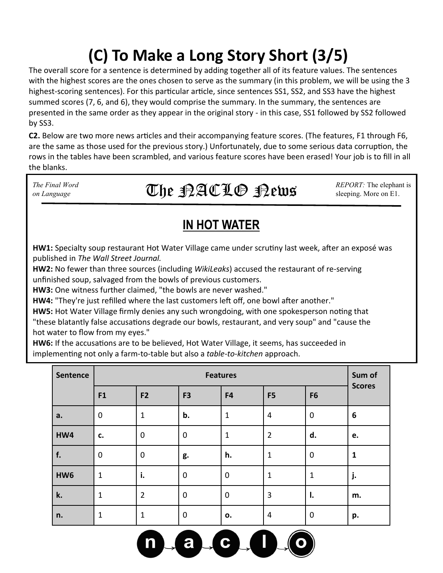# **(C) To Make a Long Story Short (3/5)**

The overall score for a sentence is determined by adding together all of its feature values. The sentences with the highest scores are the ones chosen to serve as the summary (in this problem, we will be using the 3 highest-scoring sentences). For this particular article, since sentences SS1, SS2, and SS3 have the highest summed scores (7, 6, and 6), they would comprise the summary. In the summary, the sentences are presented in the same order as they appear in the original story - in this case, SS1 followed by SS2 followed by SS3.

**C2.** Below are two more news articles and their accompanying feature scores. (The features, F1 through F6, are the same as those used for the previous story.) Unfortunately, due to some serious data corruption, the rows in the tables have been scrambled, and various feature scores have been erased! Your job is to fill in all the blanks.

*The Final Word REPORT:* The elephant is *REPORT:* The elephant is The Final Word **Integral in the SPACLO SPEED States of REPORT:** The elephan  $\sum_{\text{Sleeping. More on E1.}}$ 

#### **IN HOT WATER**

**HW1:** Specialty soup restaurant Hot Water Village came under scrutiny last week, after an exposé was published in *The Wall Street Journal.*

**HW2:** No fewer than three sources (including *WikiLeaks*) accused the restaurant of re-serving unfinished soup, salvaged from the bowls of previous customers.

**HW3:** One witness further claimed, "the bowls are never washed."

**HW4:** "They're just refilled where the last customers left off, one bowl after another."

**HW5:** Hot Water Village firmly denies any such wrongdoing, with one spokesperson noting that "these blatantly false accusations degrade our bowls, restaurant, and very soup" and "cause the hot water to flow from my eyes."

**HW6:** If the accusations are to be believed, Hot Water Village, it seems, has succeeded in implementing not only a farm-to-table but also a *table-to-kitchen* approach.

| Sentence        |              | <b>Features</b> |                |              |                |                | Sum of        |
|-----------------|--------------|-----------------|----------------|--------------|----------------|----------------|---------------|
|                 | F1           | F <sub>2</sub>  | F <sub>3</sub> | F4           | F <sub>5</sub> | F <sub>6</sub> | <b>Scores</b> |
| а.              | $\mathbf 0$  | 1               | b.             | $\mathbf{1}$ | 4              | $\mathbf 0$    | 6             |
| HW4             | c.           | 0               | $\mathbf 0$    | $\mathbf{1}$ | $\overline{2}$ | d.             | e.            |
| f.              | $\mathbf 0$  | 0               | g.             | h.           | 1              | $\mathbf 0$    | $\mathbf{1}$  |
| HW <sub>6</sub> | $\mathbf{1}$ | i.              | $\mathbf 0$    | $\mathbf 0$  | 1              | 1              | j.            |
| k.              | $\mathbf{1}$ | $\overline{2}$  | $\mathbf 0$    | $\mathbf 0$  | 3              | Ι.             | m.            |
| n.              | $\mathbf{1}$ | 1               | $\mathbf 0$    | о.           | 4              | $\mathbf 0$    | p.            |

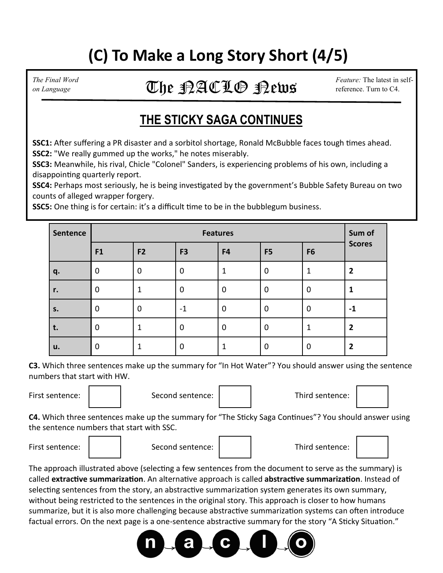## **(C) To Make a Long Story Short (4/5)**

#### *The Final Word* **Feature:** The latest in self-The Final Word **Integral of the Second City C**  $\mathcal{L} \mathfrak{P}$   $\mathcal{L} \mathfrak{P}$   $\mathcal{L} \mathfrak{P}$   $\mathcal{L} \mathfrak{P}$   $\mathcal{L} \mathfrak{P}$   $\mathcal{L} \mathfrak{P}$   $\mathcal{L} \mathfrak{P}$   $\mathcal{L} \mathfrak{P}$   $\mathcal{L} \mathfrak{P}$   $\mathcal{L} \mathfrak{P}$   $\mathcal{L} \mathfrak{P}$

### **THE STICKY SAGA CONTINUES**

**SSC1:** After suffering a PR disaster and a sorbitol shortage, Ronald McBubble faces tough times ahead. **SSC2:** "We really gummed up the works," he notes miserably.

**SSC3:** Meanwhile, his rival, Chicle "Colonel" Sanders, is experiencing problems of his own, including a disappointing quarterly report.

**SSC4:** Perhaps most seriously, he is being investigated by the government's Bubble Safety Bureau on two counts of alleged wrapper forgery.

**SSC5:** One thing is for certain: it's a difficult time to be in the bubblegum business.

| Sentence | <b>Features</b> |                |                |             |                | Sum of         |                |
|----------|-----------------|----------------|----------------|-------------|----------------|----------------|----------------|
|          | F <sub>1</sub>  | F <sub>2</sub> | F <sub>3</sub> | F4          | F <sub>5</sub> | F <sub>6</sub> | <b>Scores</b>  |
| q.       | 0               | $\mathbf 0$    | $\mathbf 0$    |             | $\mathbf 0$    | 1              | $\overline{2}$ |
| r.       | 0               |                | 0              | $\Omega$    | $\mathbf 0$    | 0              |                |
| s.       | $\mathbf 0$     | $\mathbf 0$    | -1             | $\mathbf 0$ | $\mathbf 0$    | $\mathbf 0$    | -1             |
| t.       | 0               | 1              | $\mathbf 0$    | $\Omega$    | $\mathbf 0$    | 1              | $\overline{2}$ |
| u.       | 0               |                | 0              |             | 0              | $\mathbf 0$    | $\mathbf{2}$   |

**C3.** Which three sentences make up the summary for "In Hot Water"? You should answer using the sentence numbers that start with HW.

First sentence:  $\begin{vmatrix} 1 & 1 \end{vmatrix}$  Second sentence: Second sentence: Third sentence:

**C4.** Which three sentences make up the summary for "The Sticky Saga Continues"? You should answer using the sentence numbers that start with SSC.







The approach illustrated above (selecting a few sentences from the document to serve as the summary) is called **extractive summarization**. An alternative approach is called **abstractive summarization**. Instead of selecting sentences from the story, an abstractive summarization system generates its own summary, without being restricted to the sentences in the original story. This approach is closer to how humans summarize, but it is also more challenging because abstractive summarization systems can often introduce factual errors. On the next page is a one-sentence abstractive summary for the story "A Sticky Situation."